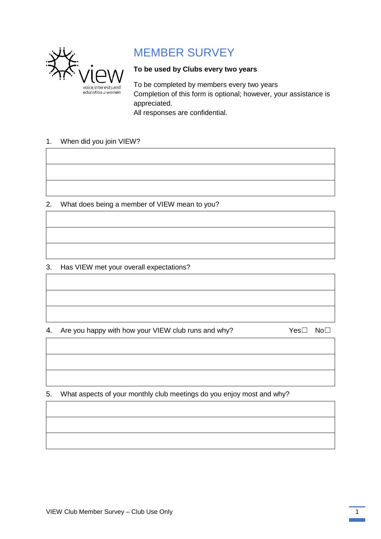

## MEMBER SURVEY

## **To be used by Clubs every two years**

To be completed by members every two years Completion of this form is optional; however, your assistance is appreciated. All responses are confidential.

## 1. When did you join VIEW?

## 2. What does being a member of VIEW mean to you?

3. Has VIEW met your overall expectations?

4. Are you happy with how your VIEW club runs and why? Yes□ No□

5. What aspects of your monthly club meetings do you enjoy most and why?

VIEW Club Member Survey – Club Use Only 1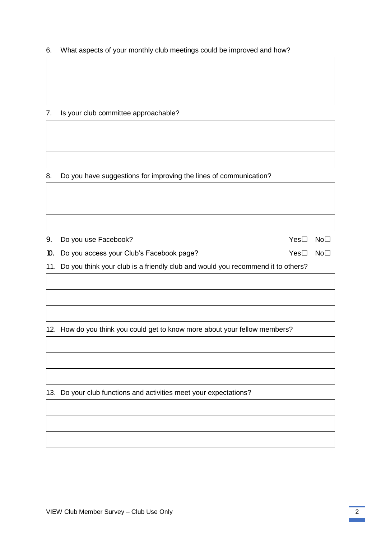6. What aspects of your monthly club meetings could be improved and how?

7. Is your club committee approachable?

8. Do you have suggestions for improving the lines of communication?

9. Do you use Facebook? Yes□ No□

10. Do you access your Club's Facebook page? Yes□ No□

11. Do you think your club is a friendly club and would you recommend it to others?

12. How do you think you could get to know more about your fellow members?

13. Do your club functions and activities meet your expectations?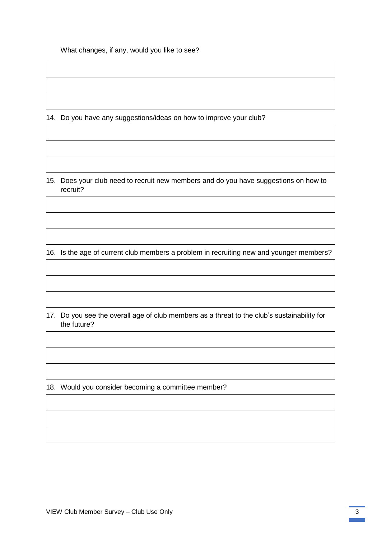What changes, if any, would you like to see?

14. Do you have any suggestions/ideas on how to improve your club?

15. Does your club need to recruit new members and do you have suggestions on how to recruit?

16. Is the age of current club members a problem in recruiting new and younger members?

17. Do you see the overall age of club members as a threat to the club's sustainability for the future?

18. Would you consider becoming a committee member?